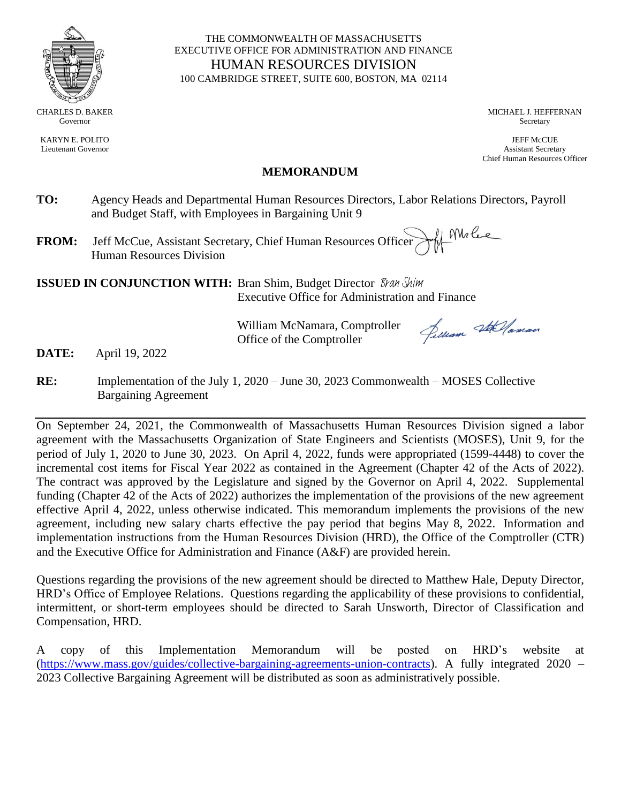

KARYN E. POLITO Lieutenant Governor

#### THE COMMONWEALTH OF MASSACHUSETTS EXECUTIVE OFFICE FOR ADMINISTRATION AND FINANCE HUMAN RESOURCES DIVISION 100 CAMBRIDGE STREET, SUITE 600, BOSTON, MA 02114

MICHAEL J. HEFFERNAN Secretary

JEFF McCUE Assistant Secretary Chief Human Resources Officer

#### **MEMORANDUM**

- **TO:** Agency Heads and Departmental Human Resources Directors, Labor Relations Directors, Payroll and Budget Staff, with Employees in Bargaining Unit 9
- the Mele **FROM:** Jeff McCue, Assistant Secretary, Chief Human Resources Officer Human Resources Division

**ISSUED IN CONJUNCTION WITH:** Bran Shim, Budget Director *Bran Shim* Executive Office for Administration and Finance

> William McNamara, Comptroller Office of the Comptroller

Jelliam Stellaman

**DATE:** April 19, 2022

**RE:** Implementation of the July 1, 2020 – June 30, 2023 Commonwealth – MOSES Collective Bargaining Agreement

On September 24, 2021, the Commonwealth of Massachusetts Human Resources Division signed a labor agreement with the Massachusetts Organization of State Engineers and Scientists (MOSES), Unit 9, for the period of July 1, 2020 to June 30, 2023. On April 4, 2022, funds were appropriated (1599-4448) to cover the incremental cost items for Fiscal Year 2022 as contained in the Agreement (Chapter 42 of the Acts of 2022). The contract was approved by the Legislature and signed by the Governor on April 4, 2022. Supplemental funding (Chapter 42 of the Acts of 2022) authorizes the implementation of the provisions of the new agreement effective April 4, 2022, unless otherwise indicated. This memorandum implements the provisions of the new agreement, including new salary charts effective the pay period that begins May 8, 2022. Information and implementation instructions from the Human Resources Division (HRD), the Office of the Comptroller (CTR) and the Executive Office for Administration and Finance (A&F) are provided herein.

Questions regarding the provisions of the new agreement should be directed to Matthew Hale, Deputy Director, HRD's Office of Employee Relations. Questions regarding the applicability of these provisions to confidential, intermittent, or short-term employees should be directed to Sarah Unsworth, Director of Classification and Compensation, HRD.

A copy of this Implementation Memorandum will be posted on HRD's website at (https://www.mass.gov/guides/collective-bargaining-agreements-union-contracts). A fully integrated 2020 – 2023 Collective Bargaining Agreement will be distributed as soon as administratively possible.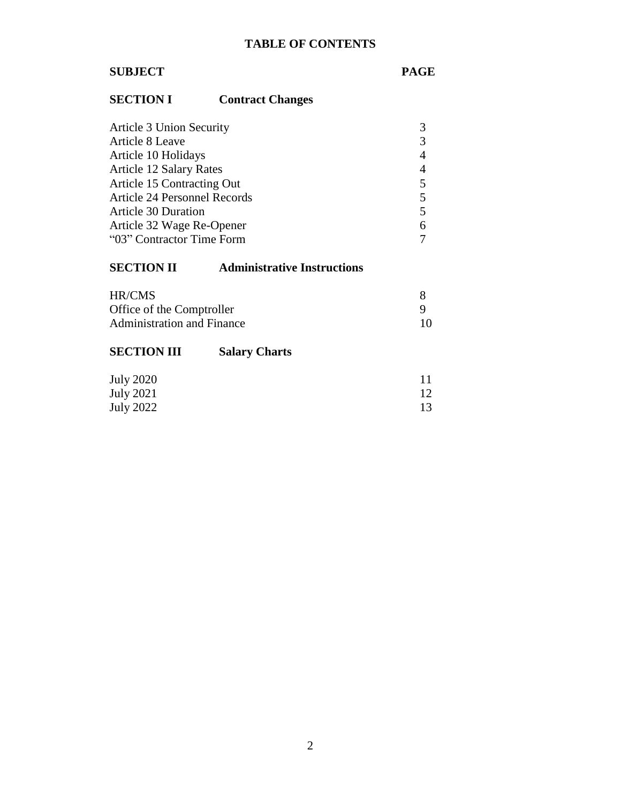# **TABLE OF CONTENTS**

# **SUBJECT PAGE**

# **SECTION I Contract Changes**

| Article 3 Union Security       |   |
|--------------------------------|---|
| Article 8 Leave                | 3 |
| Article 10 Holidays            | 4 |
| <b>Article 12 Salary Rates</b> | 4 |
| Article 15 Contracting Out     | 5 |
| Article 24 Personnel Records   | 5 |
| <b>Article 30 Duration</b>     | 5 |
| Article 32 Wage Re-Opener      | 6 |
| "03" Contractor Time Form      |   |

# **SECTION II Administrative Instructions**

| HR/CMS                            |     |
|-----------------------------------|-----|
| Office of the Comptroller         |     |
| <b>Administration and Finance</b> | 10. |

| <b>SECTION III</b> | <b>Salary Charts</b> |                 |
|--------------------|----------------------|-----------------|
| <b>July 2020</b>   |                      | 11              |
| July 2021          |                      | 12 <sup>°</sup> |
| July 2022          |                      | 13.             |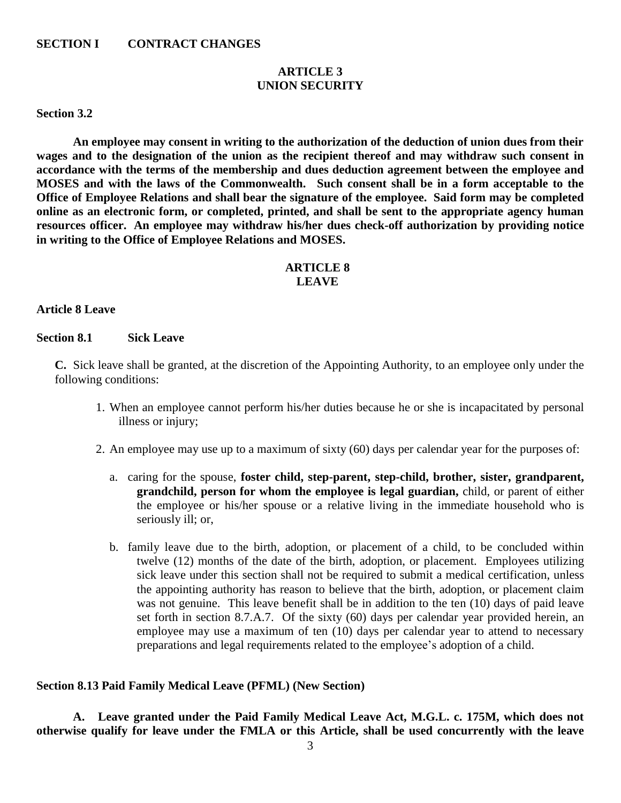#### **SECTION I CONTRACT CHANGES**

#### **ARTICLE 3 UNION SECURITY**

#### **Section 3.2**

 **An employee may consent in writing to the authorization of the deduction of union dues from their wages and to the designation of the union as the recipient thereof and may withdraw such consent in accordance with the terms of the membership and dues deduction agreement between the employee and MOSES and with the laws of the Commonwealth. Such consent shall be in a form acceptable to the Office of Employee Relations and shall bear the signature of the employee. Said form may be completed online as an electronic form, or completed, printed, and shall be sent to the appropriate agency human resources officer. An employee may withdraw his/her dues check-off authorization by providing notice in writing to the Office of Employee Relations and MOSES.**

#### **ARTICLE 8 LEAVE**

#### **Article 8 Leave**

#### **Section 8.1 Sick Leave**

**C.** Sick leave shall be granted, at the discretion of the Appointing Authority, to an employee only under the following conditions:

- 1. When an employee cannot perform his/her duties because he or she is incapacitated by personal illness or injury;
- 2. An employee may use up to a maximum of sixty (60) days per calendar year for the purposes of:
	- a. caring for the spouse, **foster child, step-parent, step-child, brother, sister, grandparent, grandchild, person for whom the employee is legal guardian,** child, or parent of either the employee or his/her spouse or a relative living in the immediate household who is seriously ill; or,
	- b. family leave due to the birth, adoption, or placement of a child, to be concluded within twelve (12) months of the date of the birth, adoption, or placement. Employees utilizing sick leave under this section shall not be required to submit a medical certification, unless the appointing authority has reason to believe that the birth, adoption, or placement claim was not genuine. This leave benefit shall be in addition to the ten (10) days of paid leave set forth in section 8.7.A.7. Of the sixty (60) days per calendar year provided herein, an employee may use a maximum of ten (10) days per calendar year to attend to necessary preparations and legal requirements related to the employee's adoption of a child.

#### **Section 8.13 Paid Family Medical Leave (PFML) (New Section)**

**A. Leave granted under the Paid Family Medical Leave Act, M.G.L. c. 175M, which does not otherwise qualify for leave under the FMLA or this Article, shall be used concurrently with the leave**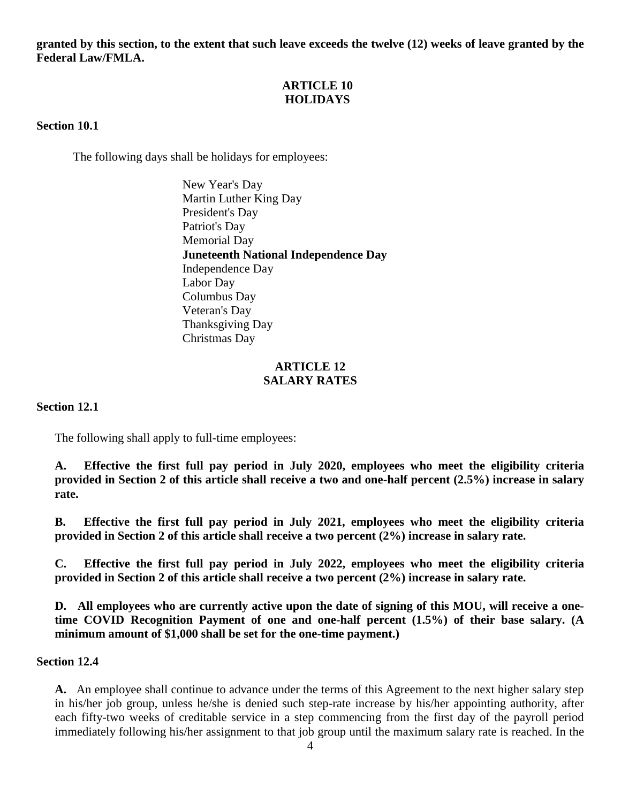**granted by this section, to the extent that such leave exceeds the twelve (12) weeks of leave granted by the Federal Law/FMLA.** 

# **ARTICLE 10 HOLIDAYS**

#### **Section 10.1**

The following days shall be holidays for employees:

New Year's Day Martin Luther King Day President's Day Patriot's Day Memorial Day **Juneteenth National Independence Day** Independence Day Labor Day Columbus Day Veteran's Day Thanksgiving Day Christmas Day

#### **ARTICLE 12 SALARY RATES**

**Section 12.1**

The following shall apply to full-time employees:

**A. Effective the first full pay period in July 2020, employees who meet the eligibility criteria provided in Section 2 of this article shall receive a two and one-half percent (2.5%) increase in salary rate.** 

**B. Effective the first full pay period in July 2021, employees who meet the eligibility criteria provided in Section 2 of this article shall receive a two percent (2%) increase in salary rate.**

**C. Effective the first full pay period in July 2022, employees who meet the eligibility criteria provided in Section 2 of this article shall receive a two percent (2%) increase in salary rate.**

**D. All employees who are currently active upon the date of signing of this MOU, will receive a onetime COVID Recognition Payment of one and one-half percent (1.5%) of their base salary. (A minimum amount of \$1,000 shall be set for the one-time payment.)** 

#### **Section 12.4**

**A.** An employee shall continue to advance under the terms of this Agreement to the next higher salary step in his/her job group, unless he/she is denied such step-rate increase by his/her appointing authority, after each fifty-two weeks of creditable service in a step commencing from the first day of the payroll period immediately following his/her assignment to that job group until the maximum salary rate is reached. In the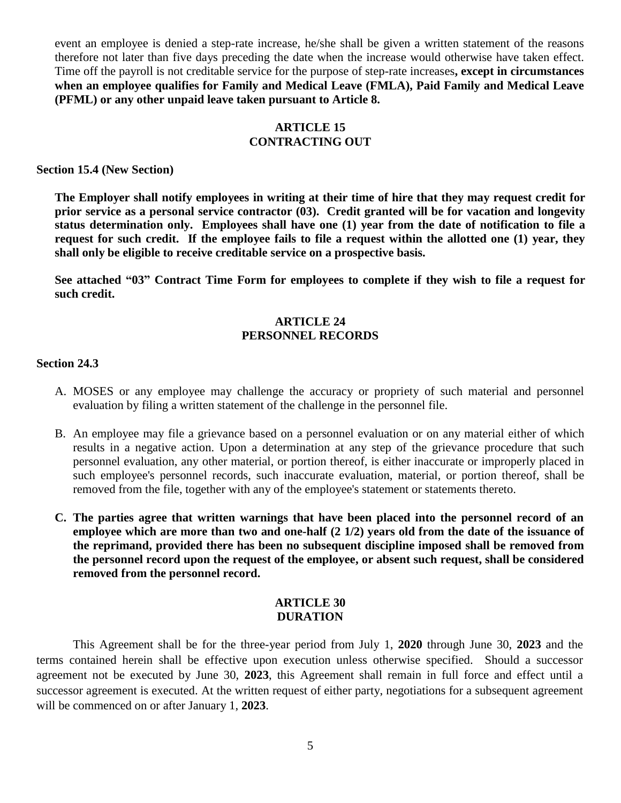event an employee is denied a step-rate increase, he/she shall be given a written statement of the reasons therefore not later than five days preceding the date when the increase would otherwise have taken effect. Time off the payroll is not creditable service for the purpose of step-rate increases**, except in circumstances when an employee qualifies for Family and Medical Leave (FMLA), Paid Family and Medical Leave (PFML) or any other unpaid leave taken pursuant to Article 8.**

## **ARTICLE 15 CONTRACTING OUT**

**Section 15.4 (New Section)**

**The Employer shall notify employees in writing at their time of hire that they may request credit for prior service as a personal service contractor (03). Credit granted will be for vacation and longevity status determination only. Employees shall have one (1) year from the date of notification to file a request for such credit. If the employee fails to file a request within the allotted one (1) year, they shall only be eligible to receive creditable service on a prospective basis.**

**See attached "03" Contract Time Form for employees to complete if they wish to file a request for such credit.**

### **ARTICLE 24 PERSONNEL RECORDS**

#### **Section 24.3**

- A. MOSES or any employee may challenge the accuracy or propriety of such material and personnel evaluation by filing a written statement of the challenge in the personnel file.
- B. An employee may file a grievance based on a personnel evaluation or on any material either of which results in a negative action. Upon a determination at any step of the grievance procedure that such personnel evaluation, any other material, or portion thereof, is either inaccurate or improperly placed in such employee's personnel records, such inaccurate evaluation, material, or portion thereof, shall be removed from the file, together with any of the employee's statement or statements thereto.
- **C. The parties agree that written warnings that have been placed into the personnel record of an employee which are more than two and one-half (2 1/2) years old from the date of the issuance of the reprimand, provided there has been no subsequent discipline imposed shall be removed from the personnel record upon the request of the employee, or absent such request, shall be considered removed from the personnel record.**

#### **ARTICLE 30 DURATION**

This Agreement shall be for the three-year period from July 1, **2020** through June 30, **2023** and the terms contained herein shall be effective upon execution unless otherwise specified. Should a successor agreement not be executed by June 30, **2023**, this Agreement shall remain in full force and effect until a successor agreement is executed. At the written request of either party, negotiations for a subsequent agreement will be commenced on or after January 1, **2023**.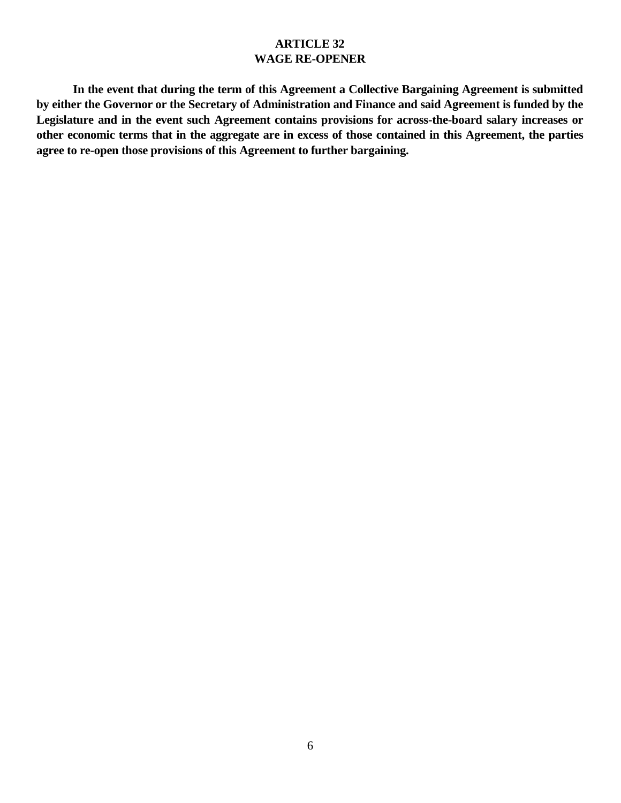# **ARTICLE 32 WAGE RE-OPENER**

**In the event that during the term of this Agreement a Collective Bargaining Agreement is submitted by either the Governor or the Secretary of Administration and Finance and said Agreement is funded by the Legislature and in the event such Agreement contains provisions for across-the-board salary increases or other economic terms that in the aggregate are in excess of those contained in this Agreement, the parties agree to re-open those provisions of this Agreement to further bargaining.**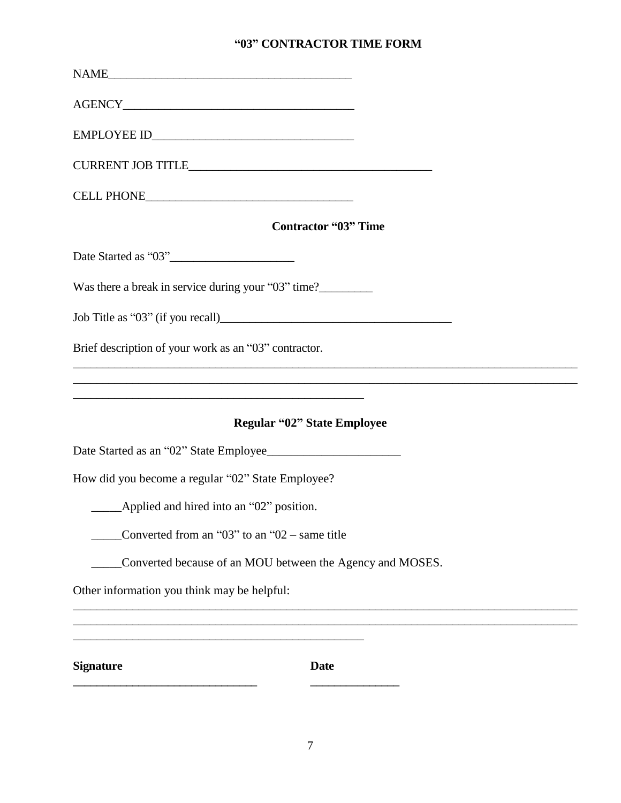# **"03" CONTRACTOR TIME FORM**

| <b>Contractor "03" Time</b>                                                                                                                                                                                                |  |
|----------------------------------------------------------------------------------------------------------------------------------------------------------------------------------------------------------------------------|--|
| Date Started as "03"                                                                                                                                                                                                       |  |
| Was there a break in service during your "03" time?                                                                                                                                                                        |  |
|                                                                                                                                                                                                                            |  |
| Brief description of your work as an "03" contractor.<br><u> 1989 - Johann Stoff, amerikansk politiker (d. 1989)</u>                                                                                                       |  |
| <u> 1989 - John Harry Harry Harry Harry Harry Harry Harry Harry Harry Harry Harry Harry Harry Harry Harry Harry H</u><br><u> 1989 - Johann Stoff, amerikansk politiker (d. 1989)</u><br><b>Regular "02" State Employee</b> |  |
|                                                                                                                                                                                                                            |  |
| How did you become a regular "02" State Employee?                                                                                                                                                                          |  |
| __________Applied and hired into an "02" position.                                                                                                                                                                         |  |
| Converted from an " $03$ " to an " $02$ – same title                                                                                                                                                                       |  |
| Converted because of an MOU between the Agency and MOSES.                                                                                                                                                                  |  |
| Other information you think may be helpful:                                                                                                                                                                                |  |
| <b>Signature</b><br><b>Date</b>                                                                                                                                                                                            |  |
|                                                                                                                                                                                                                            |  |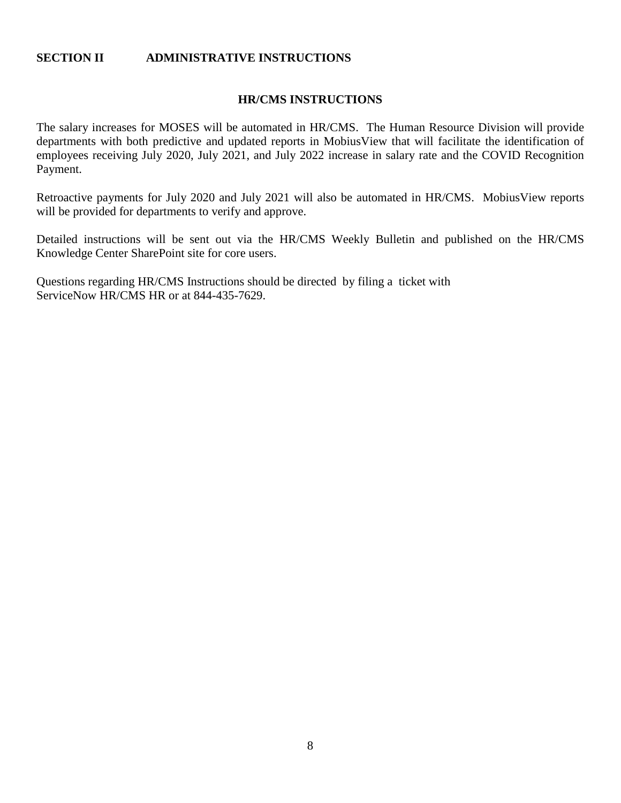#### **SECTION II ADMINISTRATIVE INSTRUCTIONS**

#### **HR/CMS INSTRUCTIONS**

The salary increases for MOSES will be automated in HR/CMS. The Human Resource Division will provide departments with both predictive and updated reports in MobiusView that will facilitate the identification of employees receiving July 2020, July 2021, and July 2022 increase in salary rate and the COVID Recognition Payment.

Retroactive payments for July 2020 and July 2021 will also be automated in HR/CMS. MobiusView reports will be provided for departments to verify and approve.

Detailed instructions will be sent out via the HR/CMS Weekly Bulletin and published on the HR/CMS Knowledge Center SharePoint site for core users.

Questions regarding HR/CMS Instructions should be directed by filing a ticket with ServiceNow HR/CMS HR or at 844-435-7629.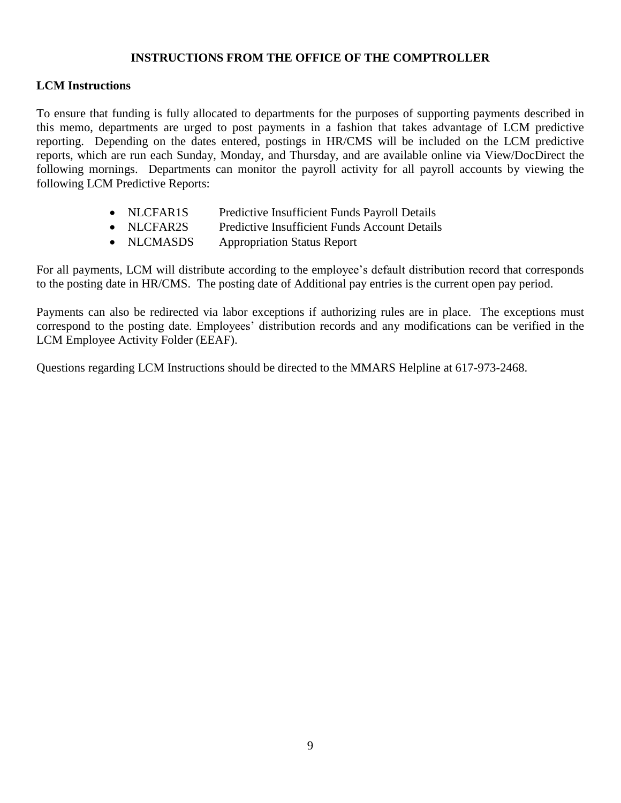### **INSTRUCTIONS FROM THE OFFICE OF THE COMPTROLLER**

# **LCM Instructions**

To ensure that funding is fully allocated to departments for the purposes of supporting payments described in this memo, departments are urged to post payments in a fashion that takes advantage of LCM predictive reporting. Depending on the dates entered, postings in HR/CMS will be included on the LCM predictive reports, which are run each Sunday, Monday, and Thursday, and are available online via View/DocDirect the following mornings. Departments can monitor the payroll activity for all payroll accounts by viewing the following LCM Predictive Reports:

- NLCFAR1S Predictive Insufficient Funds Payroll Details
- NLCFAR2S Predictive Insufficient Funds Account Details
- NLCMASDS Appropriation Status Report

For all payments, LCM will distribute according to the employee's default distribution record that corresponds to the posting date in HR/CMS. The posting date of Additional pay entries is the current open pay period.

Payments can also be redirected via labor exceptions if authorizing rules are in place. The exceptions must correspond to the posting date. Employees' distribution records and any modifications can be verified in the LCM Employee Activity Folder (EEAF).

Questions regarding LCM Instructions should be directed to the MMARS Helpline at 617-973-2468.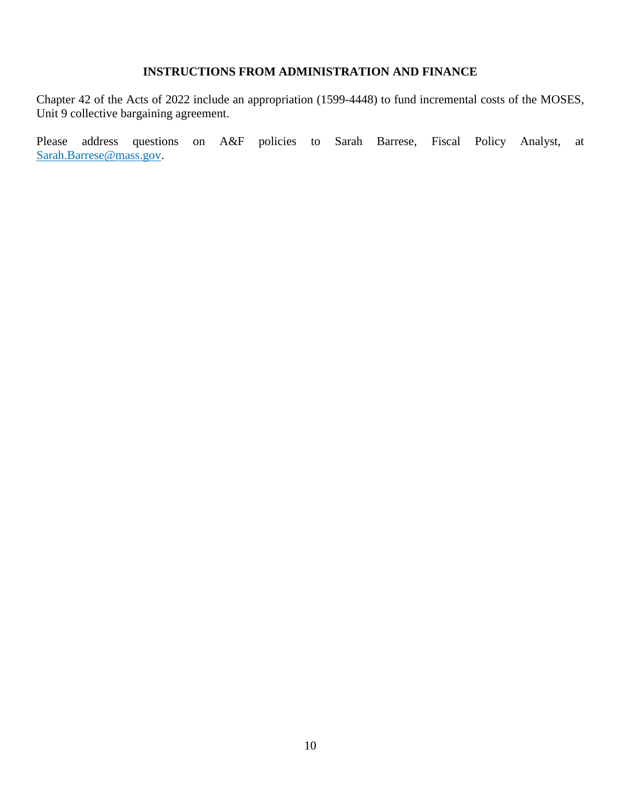# **INSTRUCTIONS FROM ADMINISTRATION AND FINANCE**

Chapter 42 of the Acts of 2022 include an appropriation (1599-4448) to fund incremental costs of the MOSES, Unit 9 collective bargaining agreement.

Please address questions on A&F policies to Sarah Barrese, Fiscal Policy Analyst, at Sarah.Barrese@mass.gov.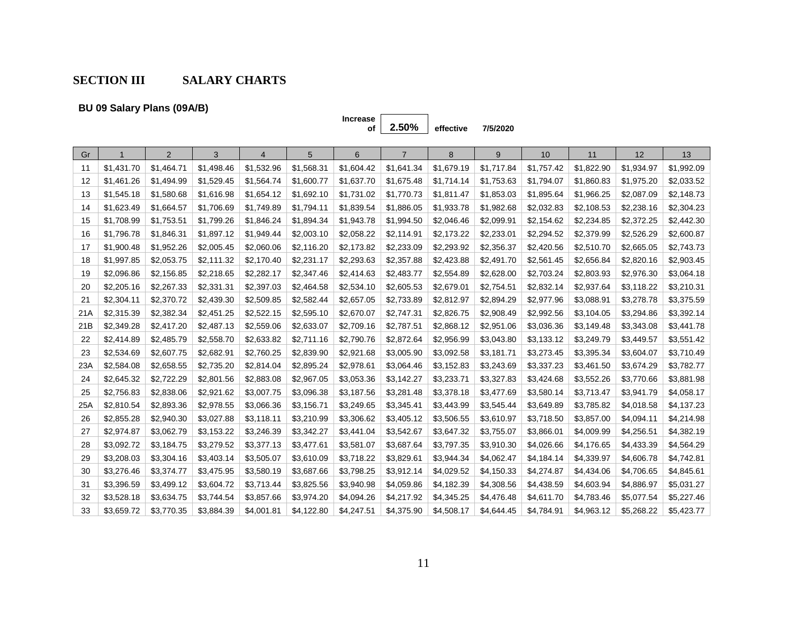# **SECTION III SALARY CHARTS**

**BU 09 Salary Plans (09A/B)**

# **Increase**

**of 2.50% effective 7/5/2020**

| Gr  |            | 2          | 3          | $\overline{4}$ | 5          | 6          | $\overline{7}$ | 8          | 9          | 10         | 11         | 12         | 13         |
|-----|------------|------------|------------|----------------|------------|------------|----------------|------------|------------|------------|------------|------------|------------|
| 11  | \$1,431.70 | \$1,464.71 | \$1,498.46 | \$1,532.96     | \$1,568.31 | \$1,604.42 | \$1,641.34     | \$1,679.19 | \$1,717.84 | \$1,757.42 | \$1,822.90 | \$1,934.97 | \$1,992.09 |
| 12  | \$1,461.26 | \$1,494.99 | \$1,529.45 | \$1,564.74     | \$1,600.77 | \$1,637.70 | \$1,675.48     | \$1,714.14 | \$1,753.63 | \$1,794.07 | \$1,860.83 | \$1,975.20 | \$2,033.52 |
| 13  | \$1,545.18 | \$1,580.68 | \$1,616.98 | \$1,654.12     | \$1,692.10 | \$1,731.02 | \$1,770.73     | \$1,811.47 | \$1,853.03 | \$1,895.64 | \$1,966.25 | \$2,087.09 | \$2,148.73 |
| 14  | \$1,623.49 | \$1,664.57 | \$1,706.69 | \$1,749.89     | \$1,794.11 | \$1,839.54 | \$1,886.05     | \$1,933.78 | \$1,982.68 | \$2,032.83 | \$2,108.53 | \$2,238.16 | \$2,304.23 |
| 15  | \$1,708.99 | \$1,753.51 | \$1,799.26 | \$1,846.24     | \$1,894.34 | \$1,943.78 | \$1,994.50     | \$2,046.46 | \$2,099.91 | \$2,154.62 | \$2,234.85 | \$2,372.25 | \$2,442.30 |
| 16  | \$1,796.78 | \$1,846.31 | \$1,897.12 | \$1,949.44     | \$2,003.10 | \$2,058.22 | \$2,114.91     | \$2,173.22 | \$2,233.01 | \$2,294.52 | \$2,379.99 | \$2,526.29 | \$2,600.87 |
| 17  | \$1,900.48 | \$1,952.26 | \$2,005.45 | \$2,060.06     | \$2,116.20 | \$2,173.82 | \$2,233.09     | \$2,293.92 | \$2,356.37 | \$2,420.56 | \$2,510.70 | \$2,665.05 | \$2,743.73 |
| 18  | \$1,997.85 | \$2,053.75 | \$2,111.32 | \$2,170.40     | \$2,231.17 | \$2,293.63 | \$2,357.88     | \$2,423.88 | \$2,491.70 | \$2,561.45 | \$2,656.84 | \$2,820.16 | \$2,903.45 |
| 19  | \$2,096.86 | \$2,156.85 | \$2,218.65 | \$2,282.17     | \$2,347.46 | \$2,414.63 | \$2,483.77     | \$2,554.89 | \$2,628.00 | \$2,703.24 | \$2,803.93 | \$2,976.30 | \$3,064.18 |
| 20  | \$2,205.16 | \$2,267.33 | \$2,331.31 | \$2,397.03     | \$2,464.58 | \$2,534.10 | \$2,605.53     | \$2,679.01 | \$2,754.51 | \$2,832.14 | \$2,937.64 | \$3,118.22 | \$3,210.31 |
| 21  | \$2,304.11 | \$2,370.72 | \$2,439.30 | \$2,509.85     | \$2,582.44 | \$2,657.05 | \$2,733.89     | \$2,812.97 | \$2,894.29 | \$2,977.96 | \$3,088.91 | \$3,278.78 | \$3,375.59 |
| 21A | \$2,315.39 | \$2,382.34 | \$2,451.25 | \$2,522.15     | \$2,595.10 | \$2,670.07 | \$2,747.31     | \$2,826.75 | \$2,908.49 | \$2,992.56 | \$3,104.05 | \$3,294.86 | \$3,392.14 |
| 21B | \$2,349.28 | \$2,417.20 | \$2,487.13 | \$2,559.06     | \$2,633.07 | \$2,709.16 | \$2,787.51     | \$2,868.12 | \$2,951.06 | \$3,036.36 | \$3,149.48 | \$3,343.08 | \$3,441.78 |
| 22  | \$2,414.89 | \$2,485.79 | \$2,558.70 | \$2,633.82     | \$2,711.16 | \$2,790.76 | \$2,872.64     | \$2,956.99 | \$3,043.80 | \$3,133.12 | \$3,249.79 | \$3,449.57 | \$3,551.42 |
| 23  | \$2,534.69 | \$2,607.75 | \$2,682.91 | \$2,760.25     | \$2,839.90 | \$2,921.68 | \$3,005.90     | \$3,092.58 | \$3,181.71 | \$3,273.45 | \$3,395.34 | \$3,604.07 | \$3,710.49 |
| 23A | \$2,584.08 | \$2,658.55 | \$2,735.20 | \$2,814.04     | \$2,895.24 | \$2,978.61 | \$3,064.46     | \$3,152.83 | \$3,243.69 | \$3,337.23 | \$3,461.50 | \$3,674.29 | \$3,782.77 |
| 24  | \$2,645.32 | \$2,722.29 | \$2,801.56 | \$2,883.08     | \$2,967.05 | \$3,053.36 | \$3,142.27     | \$3,233.71 | \$3,327.83 | \$3,424.68 | \$3,552.26 | \$3,770.66 | \$3,881.98 |
| 25  | \$2,756.83 | \$2,838.06 | \$2,921.62 | \$3,007.75     | \$3,096.38 | \$3,187.56 | \$3,281.48     | \$3,378.18 | \$3,477.69 | \$3,580.14 | \$3,713.47 | \$3,941.79 | \$4,058.17 |
| 25A | \$2,810.54 | \$2,893.36 | \$2,978.55 | \$3,066.36     | \$3,156.71 | \$3,249.65 | \$3,345.41     | \$3,443.99 | \$3,545.44 | \$3,649.89 | \$3,785.82 | \$4,018.58 | \$4,137.23 |
| 26  | \$2,855.28 | \$2,940.30 | \$3,027.88 | \$3,118.11     | \$3,210.99 | \$3,306.62 | \$3,405.12     | \$3,506.55 | \$3,610.97 | \$3,718.50 | \$3,857.00 | \$4,094.11 | \$4,214.98 |
| 27  | \$2,974.87 | \$3,062.79 | \$3,153.22 | \$3,246.39     | \$3,342.27 | \$3,441.04 | \$3,542.67     | \$3,647.32 | \$3,755.07 | \$3,866.01 | \$4,009.99 | \$4,256.51 | \$4,382.19 |
| 28  | \$3,092.72 | \$3,184.75 | \$3,279.52 | \$3,377.13     | \$3,477.61 | \$3,581.07 | \$3,687.64     | \$3,797.35 | \$3,910.30 | \$4,026.66 | \$4,176.65 | \$4,433.39 | \$4,564.29 |
| 29  | \$3,208.03 | \$3,304.16 | \$3,403.14 | \$3,505.07     | \$3,610.09 | \$3,718.22 | \$3,829.61     | \$3,944.34 | \$4,062.47 | \$4,184.14 | \$4,339.97 | \$4,606.78 | \$4,742.81 |
| 30  | \$3,276.46 | \$3,374.77 | \$3,475.95 | \$3,580.19     | \$3,687.66 | \$3,798.25 | \$3,912.14     | \$4,029.52 | \$4,150.33 | \$4,274.87 | \$4,434.06 | \$4,706.65 | \$4,845.61 |
| 31  | \$3,396.59 | \$3,499.12 | \$3,604.72 | \$3,713.44     | \$3,825.56 | \$3,940.98 | \$4,059.86     | \$4,182.39 | \$4,308.56 | \$4,438.59 | \$4,603.94 | \$4,886.97 | \$5,031.27 |
| 32  | \$3,528.18 | \$3,634.75 | \$3,744.54 | \$3,857.66     | \$3,974.20 | \$4,094.26 | \$4,217.92     | \$4,345.25 | \$4,476.48 | \$4,611.70 | \$4,783.46 | \$5,077.54 | \$5,227.46 |
| 33  | \$3,659.72 | \$3,770.35 | \$3,884.39 | \$4,001.81     | \$4,122.80 | \$4,247.51 | \$4,375.90     | \$4,508.17 | \$4,644.45 | \$4,784.91 | \$4,963.12 | \$5,268.22 | \$5,423.77 |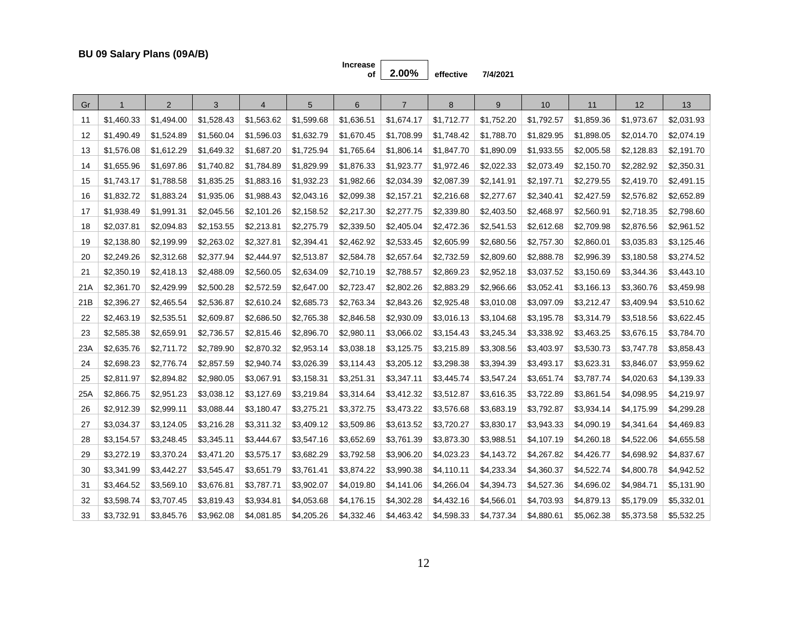**Increase** 

**of 2.00% effective 7/4/2021**

| Gr   |            | $\overline{2}$ | 3          | $\overline{4}$ | 5          | 6          | $\overline{7}$ | 8          | 9          | 10         | 11         | 12         | 13         |
|------|------------|----------------|------------|----------------|------------|------------|----------------|------------|------------|------------|------------|------------|------------|
| 11   | \$1,460.33 | \$1,494.00     | \$1,528.43 | \$1,563.62     | \$1,599.68 | \$1,636.51 | \$1,674.17     | \$1,712.77 | \$1,752.20 | \$1,792.57 | \$1,859.36 | \$1,973.67 | \$2,031.93 |
| 12   | \$1,490.49 | \$1,524.89     | \$1,560.04 | \$1,596.03     | \$1,632.79 | \$1,670.45 | \$1,708.99     | \$1,748.42 | \$1,788.70 | \$1,829.95 | \$1,898.05 | \$2,014.70 | \$2,074.19 |
| 13   | \$1,576.08 | \$1,612.29     | \$1,649.32 | \$1,687.20     | \$1,725.94 | \$1,765.64 | \$1,806.14     | \$1,847.70 | \$1,890.09 | \$1,933.55 | \$2,005.58 | \$2,128.83 | \$2,191.70 |
| 14   | \$1,655.96 | \$1,697.86     | \$1,740.82 | \$1,784.89     | \$1,829.99 | \$1,876.33 | \$1,923.77     | \$1,972.46 | \$2,022.33 | \$2,073.49 | \$2,150.70 | \$2,282.92 | \$2,350.31 |
| 15   | \$1,743.17 | \$1,788.58     | \$1,835.25 | \$1,883.16     | \$1,932.23 | \$1,982.66 | \$2,034.39     | \$2,087.39 | \$2,141.91 | \$2,197.71 | \$2,279.55 | \$2,419.70 | \$2,491.15 |
| 16   | \$1,832.72 | \$1,883.24     | \$1,935.06 | \$1,988.43     | \$2,043.16 | \$2,099.38 | \$2,157.21     | \$2,216.68 | \$2,277.67 | \$2,340.41 | \$2,427.59 | \$2,576.82 | \$2,652.89 |
| 17   | \$1,938.49 | \$1,991.31     | \$2,045.56 | \$2,101.26     | \$2,158.52 | \$2,217.30 | \$2,277.75     | \$2,339.80 | \$2,403.50 | \$2,468.97 | \$2,560.91 | \$2,718.35 | \$2,798.60 |
| 18   | \$2,037.81 | \$2,094.83     | \$2,153.55 | \$2,213.81     | \$2,275.79 | \$2,339.50 | \$2,405.04     | \$2,472.36 | \$2,541.53 | \$2,612.68 | \$2,709.98 | \$2,876.56 | \$2,961.52 |
| 19   | \$2,138.80 | \$2,199.99     | \$2,263.02 | \$2,327.81     | \$2,394.41 | \$2,462.92 | \$2,533.45     | \$2,605.99 | \$2,680.56 | \$2,757.30 | \$2,860.01 | \$3,035.83 | \$3,125.46 |
| 20   | \$2,249.26 | \$2,312.68     | \$2,377.94 | \$2,444.97     | \$2,513.87 | \$2,584.78 | \$2,657.64     | \$2,732.59 | \$2,809.60 | \$2,888.78 | \$2,996.39 | \$3,180.58 | \$3,274.52 |
| 21   | \$2,350.19 | \$2,418.13     | \$2,488.09 | \$2,560.05     | \$2,634.09 | \$2,710.19 | \$2,788.57     | \$2,869.23 | \$2,952.18 | \$3,037.52 | \$3,150.69 | \$3,344.36 | \$3,443.10 |
| 21 A | \$2,361.70 | \$2,429.99     | \$2,500.28 | \$2,572.59     | \$2,647.00 | \$2,723.47 | \$2,802.26     | \$2,883.29 | \$2,966.66 | \$3,052.41 | \$3,166.13 | \$3,360.76 | \$3,459.98 |
| 21B  | \$2,396.27 | \$2,465.54     | \$2,536.87 | \$2,610.24     | \$2,685.73 | \$2,763.34 | \$2,843.26     | \$2,925.48 | \$3,010.08 | \$3,097.09 | \$3,212.47 | \$3,409.94 | \$3,510.62 |
| 22   | \$2,463.19 | \$2,535.51     | \$2,609.87 | \$2,686.50     | \$2,765.38 | \$2,846.58 | \$2,930.09     | \$3,016.13 | \$3,104.68 | \$3,195.78 | \$3,314.79 | \$3,518.56 | \$3,622.45 |
| 23   | \$2,585.38 | \$2,659.91     | \$2,736.57 | \$2,815.46     | \$2,896.70 | \$2,980.11 | \$3,066.02     | \$3,154.43 | \$3,245.34 | \$3,338.92 | \$3,463.25 | \$3,676.15 | \$3,784.70 |
| 23A  | \$2,635.76 | \$2,711.72     | \$2,789.90 | \$2,870.32     | \$2,953.14 | \$3,038.18 | \$3,125.75     | \$3,215.89 | \$3,308.56 | \$3,403.97 | \$3,530.73 | \$3,747.78 | \$3,858.43 |
| 24   | \$2,698.23 | \$2,776.74     | \$2,857.59 | \$2,940.74     | \$3,026.39 | \$3,114.43 | \$3,205.12     | \$3,298.38 | \$3,394.39 | \$3,493.17 | \$3,623.31 | \$3,846.07 | \$3,959.62 |
| 25   | \$2,811.97 | \$2,894.82     | \$2,980.05 | \$3,067.91     | \$3,158.31 | \$3,251.31 | \$3,347.11     | \$3,445.74 | \$3,547.24 | \$3,651.74 | \$3,787.74 | \$4,020.63 | \$4,139.33 |
| 25A  | \$2,866.75 | \$2,951.23     | \$3,038.12 | \$3,127.69     | \$3,219.84 | \$3,314.64 | \$3,412.32     | \$3,512.87 | \$3,616.35 | \$3,722.89 | \$3,861.54 | \$4,098.95 | \$4,219.97 |
| 26   | \$2,912.39 | \$2,999.11     | \$3,088.44 | \$3,180.47     | \$3,275.21 | \$3,372.75 | \$3,473.22     | \$3,576.68 | \$3,683.19 | \$3,792.87 | \$3,934.14 | \$4,175.99 | \$4,299.28 |
| 27   | \$3,034.37 | \$3,124.05     | \$3,216.28 | \$3,311.32     | \$3,409.12 | \$3,509.86 | \$3,613.52     | \$3,720.27 | \$3,830.17 | \$3,943.33 | \$4,090.19 | \$4,341.64 | \$4,469.83 |
| 28   | \$3,154.57 | \$3,248.45     | \$3,345.11 | \$3,444.67     | \$3,547.16 | \$3,652.69 | \$3,761.39     | \$3,873.30 | \$3,988.51 | \$4,107.19 | \$4,260.18 | \$4,522.06 | \$4,655.58 |
| 29   | \$3,272.19 | \$3,370.24     | \$3,471.20 | \$3,575.17     | \$3,682.29 | \$3,792.58 | \$3,906.20     | \$4,023.23 | \$4,143.72 | \$4,267.82 | \$4,426.77 | \$4,698.92 | \$4,837.67 |
| 30   | \$3,341.99 | \$3,442.27     | \$3,545.47 | \$3,651.79     | \$3,761.41 | \$3,874.22 | \$3,990.38     | \$4,110.11 | \$4,233.34 | \$4,360.37 | \$4,522.74 | \$4,800.78 | \$4,942.52 |
| 31   | \$3,464.52 | \$3,569.10     | \$3,676.81 | \$3,787.71     | \$3,902.07 | \$4,019.80 | \$4,141.06     | \$4,266.04 | \$4,394.73 | \$4,527.36 | \$4,696.02 | \$4,984.71 | \$5,131.90 |
| 32   | \$3,598.74 | \$3,707.45     | \$3,819.43 | \$3,934.81     | \$4,053.68 | \$4,176.15 | \$4,302.28     | \$4,432.16 | \$4,566.01 | \$4,703.93 | \$4,879.13 | \$5,179.09 | \$5,332.01 |
| 33   | \$3,732.91 | \$3,845.76     | \$3,962.08 | \$4,081.85     | \$4,205.26 | \$4,332.46 | \$4,463.42     | \$4,598.33 | \$4,737.34 | \$4,880.61 | \$5,062.38 | \$5,373.58 | \$5,532.25 |